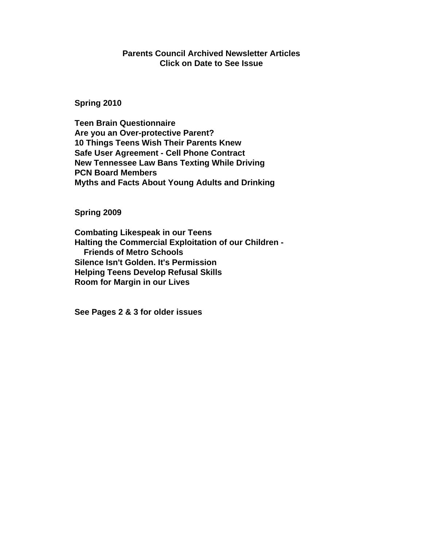# **Parents Council Archived Newsletter Articles Click on Date to See Issue**

**[Spring 2010](http://www.parentscouncilofnashville.org/newsletter_spring2010.pdf)**

**Teen Brain Questionnaire Are you an Over-protective Parent? 10 Things Teens Wish Their Parents Knew Safe User Agreement - Cell Phone Contract New Tennessee Law Bans Texting While Driving PCN Board Members Myths and Facts About Young Adults and Drinking** 

**[Spring 2009](http://www.parentscouncilofnashville.org/newsletter_spring2009.pdf)** 

**Combating Likespeak in our Teens Halting the Commercial Exploitation of our Children - Friends of Metro Schools Silence Isn't Golden. It's Permission Helping Teens Develop Refusal Skills Room for Margin in our Lives**

**See Pages 2 & 3 for older issues**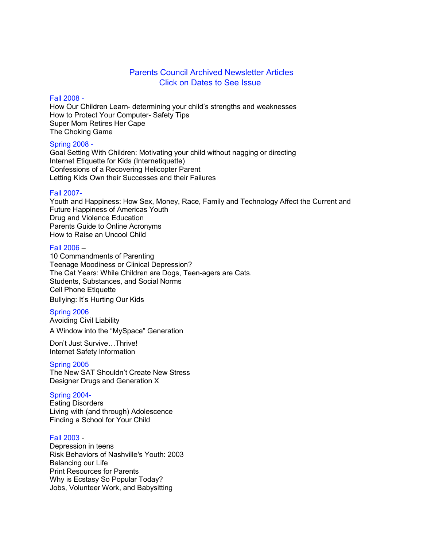# Parents Council Archived Newsletter Articles Click on Dates to See Issue

#### [Fall 2008 -](http://parentscouncilofnashville.org/newsletter_fall2008.pdf)

How Our Children Learn- determining your child's strengths and weaknesses How to Protect Your Computer- Safety Tips Super Mom Retires Her Cape The Choking Game

#### [Spring 2008 -](http://parentscouncilofnashville.org/newsletter_spring2008.pdf)

Goal Setting With Children: Motivating your child without nagging or directing Internet Etiquette for Kids (Internetiquette) Confessions of a Recovering Helicopter Parent Letting Kids Own their Successes and their Failures

#### [Fall 2007-](http://parentscouncilofnashville.org/newsletter_fall2007.pdf)

Youth and Happiness: How Sex, Money, Race, Family and Technology Affect the Current and Future Happiness of Americas Youth Drug and Violence Education Parents Guide to Online Acronyms How to Raise an Uncool Child

#### [Fall 2006](http://parentscouncilofnashville.org/newsletter_fall2006.pdf) –

10 Commandments of Parenting Teenage Moodiness or Clinical Depression? The Cat Years: While Children are Dogs, Teen-agers are Cats. Students, Substances, and Social Norms Cell Phone Etiquette Bullying: It's Hurting Our Kids

## [Spring 2006](http://parentscouncilofnashville.org/newsletter_spring2006.pdf)

Avoiding Civil Liability A Window into the "MySpace" Generation

Don't Just Survive…Thrive! Internet Safety Information

## [Spring 2005](http://parentscouncilofnashville.org/newsletter_spring2005.pdf)

The New SAT Shouldn't Create New Stress Designer Drugs and Generation X

# [Spring 2004-](http://parentscouncilofnashville.org/newsletter_spring2004.pdf)

Eating Disorders Living with (and through) Adolescence Finding a School for Your Child

## [Fall 2003 -](http://parentscouncilofnashville.org/newsletter_fall2003.pdf)

Depression in teens Risk Behaviors of Nashville's Youth: 2003 Balancing our Life Print Resources for Parents Why is Ecstasy So Popular Today? Jobs, Volunteer Work, and Babysitting